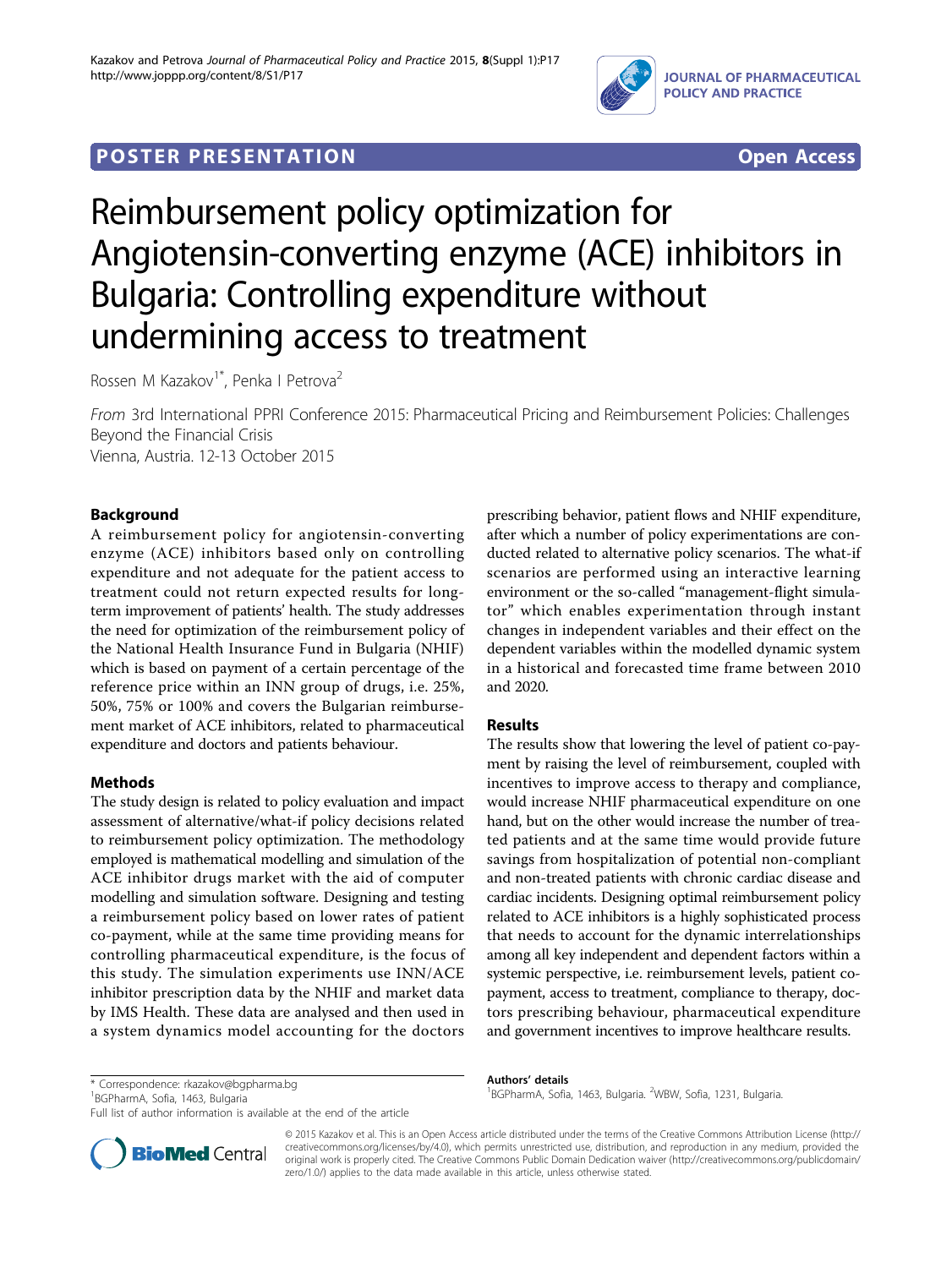

## **POSTER PRESENTATION CONSUMING THE SERVICE SERVICE SERVICES**



# Reimbursement policy optimization for Angiotensin-converting enzyme (ACE) inhibitors in Bulgaria: Controlling expenditure without undermining access to treatment

Rossen M Kazakov<sup>1\*</sup>, Penka I Petrova<sup>2</sup>

From 3rd International PPRI Conference 2015: Pharmaceutical Pricing and Reimbursement Policies: Challenges Beyond the Financial Crisis Vienna, Austria. 12-13 October 2015

### Background

A reimbursement policy for angiotensin-converting enzyme (ACE) inhibitors based only on controlling expenditure and not adequate for the patient access to treatment could not return expected results for longterm improvement of patients' health. The study addresses the need for optimization of the reimbursement policy of the National Health Insurance Fund in Bulgaria (NHIF) which is based on payment of a certain percentage of the reference price within an INN group of drugs, i.e. 25%, 50%, 75% or 100% and covers the Bulgarian reimbursement market of ACE inhibitors, related to pharmaceutical expenditure and doctors and patients behaviour.

#### Methods

The study design is related to policy evaluation and impact assessment of alternative/what-if policy decisions related to reimbursement policy optimization. The methodology employed is mathematical modelling and simulation of the ACE inhibitor drugs market with the aid of computer modelling and simulation software. Designing and testing a reimbursement policy based on lower rates of patient co-payment, while at the same time providing means for controlling pharmaceutical expenditure, is the focus of this study. The simulation experiments use INN/ACE inhibitor prescription data by the NHIF and market data by IMS Health. These data are analysed and then used in a system dynamics model accounting for the doctors

1 BGPharmA, Sofia, 1463, Bulgaria

Full list of author information is available at the end of the article

prescribing behavior, patient flows and NHIF expenditure, after which a number of policy experimentations are conducted related to alternative policy scenarios. The what-if scenarios are performed using an interactive learning environment or the so-called "management-flight simulator" which enables experimentation through instant changes in independent variables and their effect on the dependent variables within the modelled dynamic system in a historical and forecasted time frame between 2010 and 2020.

#### Results

The results show that lowering the level of patient co-payment by raising the level of reimbursement, coupled with incentives to improve access to therapy and compliance, would increase NHIF pharmaceutical expenditure on one hand, but on the other would increase the number of treated patients and at the same time would provide future savings from hospitalization of potential non-compliant and non-treated patients with chronic cardiac disease and cardiac incidents. Designing optimal reimbursement policy related to ACE inhibitors is a highly sophisticated process that needs to account for the dynamic interrelationships among all key independent and dependent factors within a systemic perspective, i.e. reimbursement levels, patient copayment, access to treatment, compliance to therapy, doctors prescribing behaviour, pharmaceutical expenditure and government incentives to improve healthcare results.

\* Correspondence: [rkazakov@bgpharma.bg](mailto:rkazakov@bgpharma.bg)<br>1BGPharmA, Sofia, 1463, Bulgaria. 1231, Bulgaria. 13463, Bulgaria. 2MBW, Sofia, 1231, Bulgaria. 2MBW, Sofia, 1231, Bulgaria.



© 2015 Kazakov et al. This is an Open Access article distributed under the terms of the Creative Commons Attribution License [\(http://](http://creativecommons.org/licenses/by/4.0) [creativecommons.org/licenses/by/4.0](http://creativecommons.org/licenses/by/4.0)), which permits unrestricted use, distribution, and reproduction in any medium, provided the original work is properly cited. The Creative Commons Public Domain Dedication waiver ([http://creativecommons.org/publicdomain/](http://creativecommons.org/publicdomain/zero/1.0/) [zero/1.0/](http://creativecommons.org/publicdomain/zero/1.0/)) applies to the data made available in this article, unless otherwise stated.